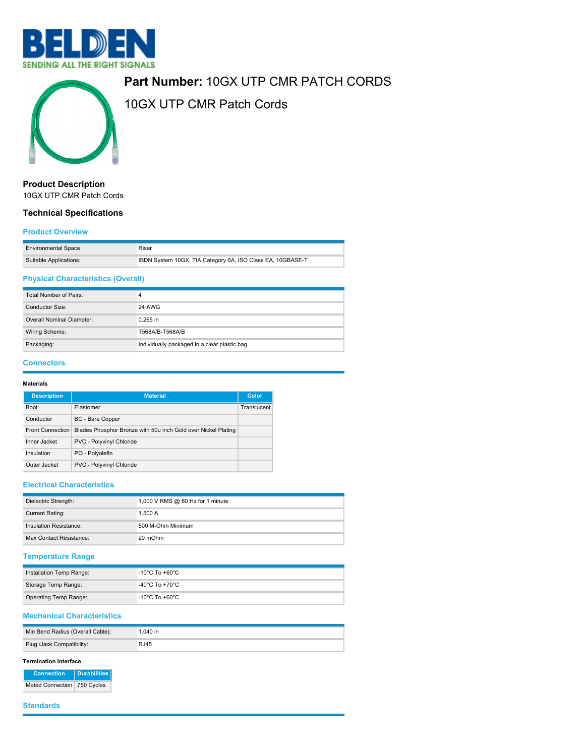



# **Part Number:** 10GX UTP CMR PATCH CORDS

10GX UTP CMR Patch Cords

# **Product Description**

10GX UTP CMR Patch Cords

# **Technical Specifications**

#### **Product Overview**

| <b>Environmental Space:</b> | Riser                                                      |
|-----------------------------|------------------------------------------------------------|
| Suitable Applications:      | IBDN System 10GX, TIA Category 6A, ISO Class EA, 10GBASE-T |

# **Physical Characteristics (Overall)**

| Total Number of Pairs:    |                                               |
|---------------------------|-----------------------------------------------|
| Conductor Size:           | <b>24 AWG</b>                                 |
| Overall Nominal Diameter: | $0.265$ in                                    |
| Wiring Scheme:            | T568A/B-T568A/B                               |
| Packaging:                | Individually packaged in a clear plastic bag. |

#### **Connectors**

#### **Materials**

| <b>Description</b>      | <b>Material</b>                                               | Color       |
|-------------------------|---------------------------------------------------------------|-------------|
| <b>Boot</b>             | Elastomer                                                     | Translucent |
| Conductor               | BC - Bare Copper                                              |             |
| <b>Front Connection</b> | Blades Phosphor Bronze with 50u inch Gold over Nickel Plating |             |
| Inner Jacket            | PVC - Polyvinyl Chloride                                      |             |
| Insulation              | PO - Polyolefin                                               |             |
| Outer Jacket            | PVC - Polyvinyl Chloride                                      |             |

### **Electrical Characteristics**

| Dielectric Strength:    | 1,000 V RMS @ 60 Hz for 1 minute |
|-------------------------|----------------------------------|
| <b>Current Rating:</b>  | 1.500A                           |
| Insulation Resistance:  | 500 M-Ohm Minimum                |
| Max Contact Resistance: | 20 mOhm                          |

## **Temperature Range**

| Installation Temp Range:     | -10°C To +60°C |
|------------------------------|----------------|
| Storage Temp Range:          | -40°C To +70°C |
| <b>Operating Temp Range:</b> | -10°C To +60°C |

## **Mechanical Characteristics**

| Min Bend Radius (Overall Cable): | $.040$ in |
|----------------------------------|-----------|
| Plug /Jack Compatibility:        | RJ45      |

#### **Termination Interface**

**Connection Durabilities** Mated Connection 750 Cycles

#### **Standards**